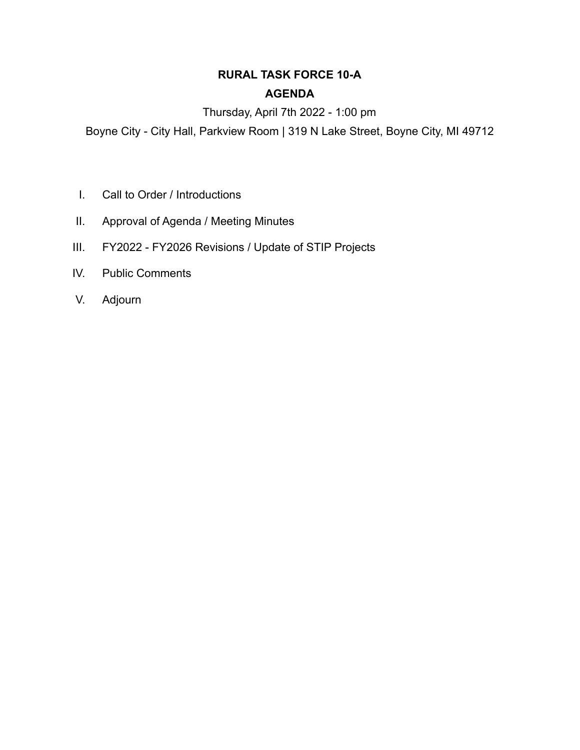# **RURAL TASK FORCE 10-A AGENDA**

# Thursday, April 7th 2022 - 1:00 pm

Boyne City - City Hall, Parkview Room | 319 N Lake Street, Boyne City, MI 49712

- I. Call to Order / Introductions
- II. Approval of Agenda / Meeting Minutes
- III. FY2022 FY2026 Revisions / Update of STIP Projects
- IV. Public Comments
- V. Adjourn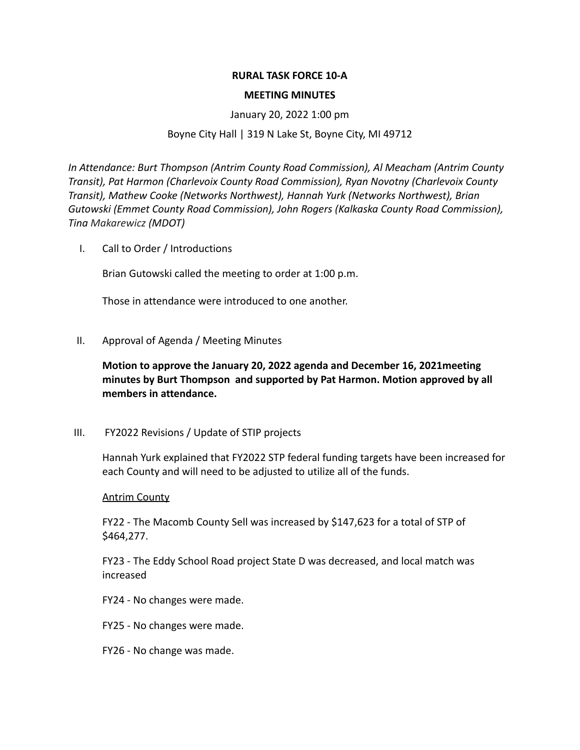### **RURAL TASK FORCE 10-A**

#### **MEETING MINUTES**

#### January 20, 2022 1:00 pm

### Boyne City Hall | 319 N Lake St, Boyne City, MI 49712

*In Attendance: Burt Thompson (Antrim County Road Commission), Al Meacham (Antrim County Transit), Pat Harmon (Charlevoix County Road Commission), Ryan Novotny (Charlevoix County Transit), Mathew Cooke (Networks Northwest), Hannah Yurk (Networks Northwest), Brian Gutowski (Emmet County Road Commission), John Rogers (Kalkaska County Road Commission), Tina Makarewicz (MDOT)*

I. Call to Order / Introductions

Brian Gutowski called the meeting to order at 1:00 p.m.

Those in attendance were introduced to one another.

II. Approval of Agenda / Meeting Minutes

**Motion to approve the January 20, 2022 agenda and December 16, 2021meeting minutes by Burt Thompson and supported by Pat Harmon. Motion approved by all members in attendance.**

III. FY2022 Revisions / Update of STIP projects

Hannah Yurk explained that FY2022 STP federal funding targets have been increased for each County and will need to be adjusted to utilize all of the funds.

#### Antrim County

FY22 - The Macomb County Sell was increased by \$147,623 for a total of STP of \$464,277.

FY23 - The Eddy School Road project State D was decreased, and local match was increased

- FY24 No changes were made.
- FY25 No changes were made.
- FY26 No change was made.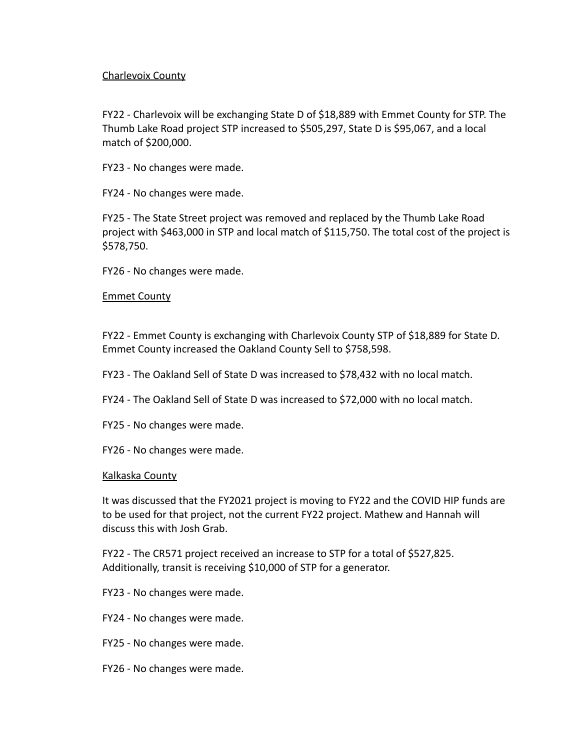## Charlevoix County

FY22 - Charlevoix will be exchanging State D of \$18,889 with Emmet County for STP. The Thumb Lake Road project STP increased to \$505,297, State D is \$95,067, and a local match of \$200,000.

FY23 - No changes were made.

FY24 - No changes were made.

FY25 - The State Street project was removed and replaced by the Thumb Lake Road project with \$463,000 in STP and local match of \$115,750. The total cost of the project is \$578,750.

FY26 - No changes were made.

## Emmet County

FY22 - Emmet County is exchanging with Charlevoix County STP of \$18,889 for State D. Emmet County increased the Oakland County Sell to \$758,598.

FY23 - The Oakland Sell of State D was increased to \$78,432 with no local match.

- FY24 The Oakland Sell of State D was increased to \$72,000 with no local match.
- FY25 No changes were made.
- FY26 No changes were made.

## Kalkaska County

It was discussed that the FY2021 project is moving to FY22 and the COVID HIP funds are to be used for that project, not the current FY22 project. Mathew and Hannah will discuss this with Josh Grab.

FY22 - The CR571 project received an increase to STP for a total of \$527,825. Additionally, transit is receiving \$10,000 of STP for a generator.

- FY23 No changes were made.
- FY24 No changes were made.
- FY25 No changes were made.
- FY26 No changes were made.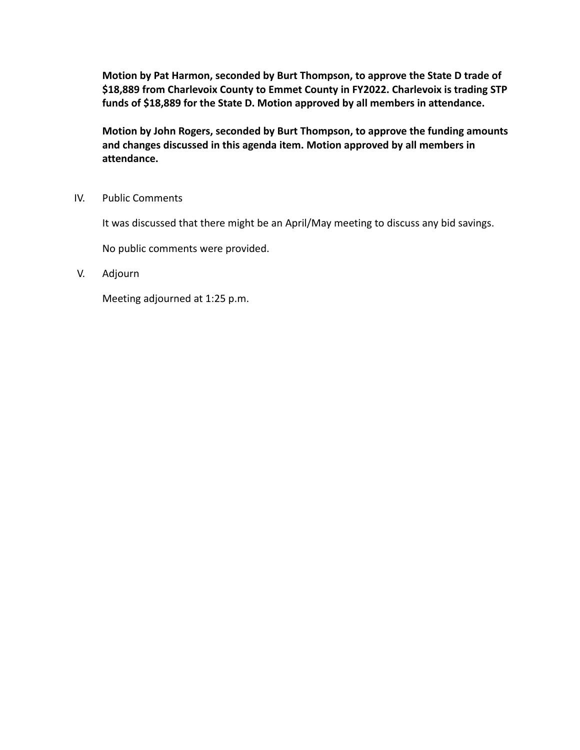**Motion by Pat Harmon, seconded by Burt Thompson, to approve the State D trade of \$18,889 from Charlevoix County to Emmet County in FY2022. Charlevoix is trading STP funds of \$18,889 for the State D. Motion approved by all members in attendance.**

**Motion by John Rogers, seconded by Burt Thompson, to approve the funding amounts and changes discussed in this agenda item. Motion approved by all members in attendance.**

IV. Public Comments

It was discussed that there might be an April/May meeting to discuss any bid savings.

No public comments were provided.

V. Adjourn

Meeting adjourned at 1:25 p.m.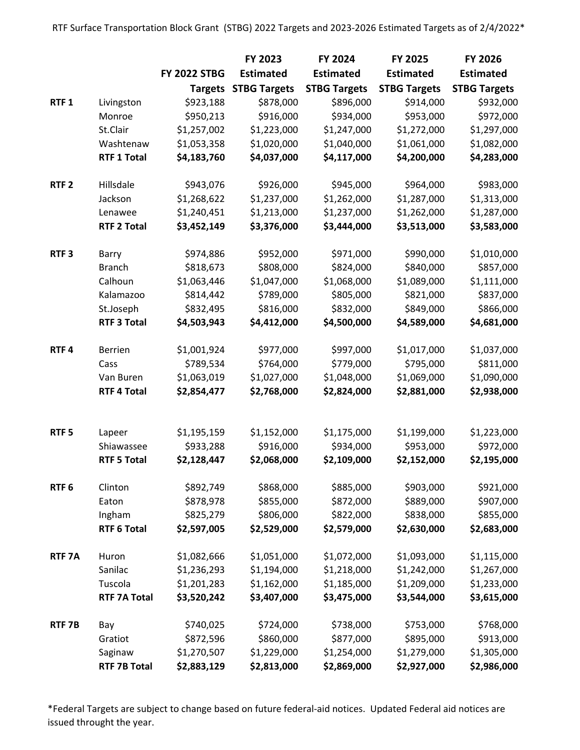|                   |                                  |                          | FY 2023                     | <b>FY 2024</b>           | FY 2025                  | FY 2026                  |
|-------------------|----------------------------------|--------------------------|-----------------------------|--------------------------|--------------------------|--------------------------|
|                   |                                  | <b>FY 2022 STBG</b>      | <b>Estimated</b>            | <b>Estimated</b>         | <b>Estimated</b>         | <b>Estimated</b>         |
|                   |                                  |                          | <b>Targets STBG Targets</b> | <b>STBG Targets</b>      | <b>STBG Targets</b>      | <b>STBG Targets</b>      |
| RTF <sub>1</sub>  | Livingston                       | \$923,188                | \$878,000                   | \$896,000                | \$914,000                | \$932,000                |
|                   | Monroe                           | \$950,213                | \$916,000                   | \$934,000                | \$953,000                | \$972,000                |
|                   | St.Clair                         | \$1,257,002              | \$1,223,000                 | \$1,247,000              | \$1,272,000              | \$1,297,000              |
|                   | Washtenaw                        | \$1,053,358              | \$1,020,000                 | \$1,040,000              | \$1,061,000              | \$1,082,000              |
|                   | <b>RTF 1 Total</b>               | \$4,183,760              | \$4,037,000                 | \$4,117,000              | \$4,200,000              | \$4,283,000              |
| RTF <sub>2</sub>  | Hillsdale                        | \$943,076                | \$926,000                   | \$945,000                | \$964,000                | \$983,000                |
|                   | Jackson                          | \$1,268,622              | \$1,237,000                 | \$1,262,000              | \$1,287,000              | \$1,313,000              |
|                   | Lenawee                          | \$1,240,451              | \$1,213,000                 | \$1,237,000              | \$1,262,000              | \$1,287,000              |
|                   | <b>RTF 2 Total</b>               | \$3,452,149              | \$3,376,000                 | \$3,444,000              | \$3,513,000              | \$3,583,000              |
| RTF <sub>3</sub>  | Barry                            | \$974,886                | \$952,000                   | \$971,000                | \$990,000                | \$1,010,000              |
|                   | <b>Branch</b>                    | \$818,673                | \$808,000                   | \$824,000                | \$840,000                | \$857,000                |
|                   | Calhoun                          | \$1,063,446              | \$1,047,000                 | \$1,068,000              | \$1,089,000              | \$1,111,000              |
|                   | Kalamazoo                        | \$814,442                | \$789,000                   | \$805,000                | \$821,000                | \$837,000                |
|                   | St.Joseph                        | \$832,495                | \$816,000                   | \$832,000                | \$849,000                | \$866,000                |
|                   | <b>RTF 3 Total</b>               | \$4,503,943              | \$4,412,000                 | \$4,500,000              | \$4,589,000              | \$4,681,000              |
| RTF4              | <b>Berrien</b>                   | \$1,001,924              | \$977,000                   | \$997,000                | \$1,017,000              | \$1,037,000              |
|                   | Cass                             | \$789,534                | \$764,000                   | \$779,000                | \$795,000                | \$811,000                |
|                   | Van Buren                        | \$1,063,019              | \$1,027,000                 | \$1,048,000              | \$1,069,000              | \$1,090,000              |
|                   | <b>RTF 4 Total</b>               | \$2,854,477              | \$2,768,000                 | \$2,824,000              | \$2,881,000              | \$2,938,000              |
|                   |                                  |                          |                             |                          |                          |                          |
| RTF <sub>5</sub>  | Lapeer                           | \$1,195,159              | \$1,152,000                 | \$1,175,000              | \$1,199,000              | \$1,223,000              |
|                   | Shiawassee<br><b>RTF 5 Total</b> | \$933,288<br>\$2,128,447 | \$916,000<br>\$2,068,000    | \$934,000<br>\$2,109,000 | \$953,000<br>\$2,152,000 | \$972,000<br>\$2,195,000 |
| RTF <sub>6</sub>  | Clinton                          | \$892,749                | \$868,000                   | \$885,000                | \$903,000                | \$921,000                |
|                   | Eaton                            | \$878,978                | \$855,000                   | \$872,000                | \$889,000                | \$907,000                |
|                   | Ingham                           | \$825,279                | \$806,000                   | \$822,000                | \$838,000                | \$855,000                |
|                   | <b>RTF 6 Total</b>               | \$2,597,005              | \$2,529,000                 | \$2,579,000              | \$2,630,000              | \$2,683,000              |
| RTF <sub>7A</sub> | Huron                            | \$1,082,666              | \$1,051,000                 | \$1,072,000              | \$1,093,000              | \$1,115,000              |
|                   | Sanilac                          | \$1,236,293              | \$1,194,000                 | \$1,218,000              | \$1,242,000              | \$1,267,000              |
|                   | Tuscola                          | \$1,201,283              | \$1,162,000                 | \$1,185,000              | \$1,209,000              | \$1,233,000              |
|                   | <b>RTF 7A Total</b>              | \$3,520,242              | \$3,407,000                 | \$3,475,000              | \$3,544,000              | \$3,615,000              |
| RTF <sub>7B</sub> | Bay                              | \$740,025                | \$724,000                   | \$738,000                | \$753,000                | \$768,000                |
|                   | Gratiot                          | \$872,596                | \$860,000                   | \$877,000                | \$895,000                | \$913,000                |
|                   | Saginaw                          | \$1,270,507              | \$1,229,000                 | \$1,254,000              | \$1,279,000              | \$1,305,000              |
|                   | <b>RTF 7B Total</b>              | \$2,883,129              | \$2,813,000                 | \$2,869,000              | \$2,927,000              | \$2,986,000              |

\*Federal Targets are subject to change based on future federal-aid notices. Updated Federal aid notices are issued throught the year.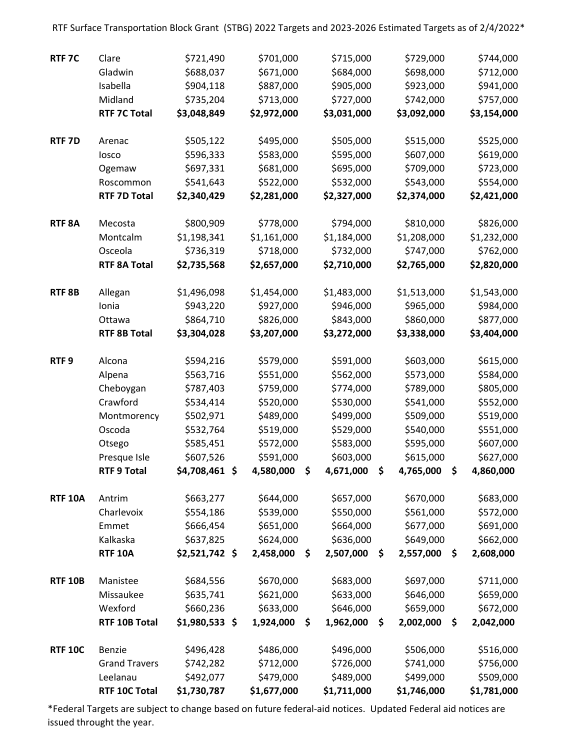RTF 7C Clare \$721,490 \$701,000 \$715,000 \$729,000 \$744,000 Gladwin \$688,037 \$671,000 \$684,000 \$698,000 \$712,000 Isabella \$904,118 \$887,000 \$905,000 \$923,000 \$941,000 Midland \$735,204 \$713,000 \$727,000 \$742,000 \$757,000 RTF 7C Total \$3,048,849 \$2,972,000 \$3,031,000 \$3,092,000 \$3,154,000 RTF 7D Arenac \$505,122 \$495,000 \$505,000 \$515,000 \$525,000 Iosco \$596,333 \$583,000 \$595,000 \$607,000 \$619,000 Ogemaw \$697,331 \$681,000 \$695,000 \$709,000 \$723,000 Roscommon \$541,643 \$522,000 \$532,000 \$543,000 \$554,000 RTF 7D Total \$2,340,429 \$2,281,000 \$2,327,000 \$2,374,000 \$2,421,000 RTF 8A Mecosta \$800,909 \$778,000 \$794,000 \$810,000 \$826,000 Montcalm \$1,198,341 \$1,161,000 \$1,184,000 \$1,208,000 \$1,232,000 Osceola \$736,319 \$718,000 \$732,000 \$747,000 \$762,000 RTF 8A Total \$2,735,568 \$2,657,000 \$2,710,000 \$2,765,000 \$2,820,000 RTF 8B Allegan \$1,496,098 \$1,454,000 \$1,483,000 \$1,513,000 \$1,543,000 Ionia \$943,220 \$927,000 \$946,000 \$965,000 \$984,000 Ottawa \$864,710 \$826,000 \$843,000 \$860,000 \$877,000 RTF 8B Total \$3,304,028 \$3,207,000 \$3,272,000 \$3,338,000 \$3,404,000 RTF 9 Alcona \$594,216 \$579,000 \$591,000 \$603,000 \$615,000 Alpena \$563,716 \$551,000 \$562,000 \$573,000 \$584,000 Cheboygan \$787,403 \$759,000 \$774,000 \$789,000 \$805,000 Crawford \$534,414 \$520,000 \$530,000 \$541,000 \$552,000 Montmorency \$502,971 \$489,000 \$499,000 \$509,000 \$519,000 Oscoda \$532,764 \$519,000 \$529,000 \$540,000 \$551,000 Otsego \$585,451 \$572,000 \$583,000 \$595,000 \$607,000 Presque Isle \$607,526 \$591,000 \$603,000 \$615,000 \$627,000 RTF 9 Total \$4,708,461 \$ 4,580,000 \$ 4,671,000 \$ 4,765,000 \$ 4,860,000 RTF 10A Antrim \$663,277 \$644,000 \$657,000 \$670,000 \$683,000 Charlevoix \$554,186 \$539,000 \$550,000 \$561,000 \$572,000 Emmet \$666,454 \$651,000 \$664,000 \$677,000 \$691,000 Kalkaska \$637,825 \$624,000 \$636,000 \$649,000 \$662,000 RTF 10A \$2,521,742 \$ 2,458,000 \$ 2,507,000 \$ 2,557,000 \$ 2,608,000 RTF 10B Manistee \$684,556 \$670,000 \$683,000 \$697,000 \$711,000 Missaukee \$635,741 \$621,000 \$633,000 \$646,000 \$659,000 Wexford \$660,236 \$633,000 \$646,000 \$659,000 \$672,000 RTF 10B Total \$1,980,533 \$ 1,924,000 \$ 1,962,000 \$ 2,002,000 \$ 2,042,000 RTF 10C Benzie \$496,428 \$486,000 \$496,000 \$506,000 \$516,000 Grand Travers \$742,282 \$712,000 \$726,000 \$741,000 \$756,000 Leelanau \$492,077 \$479,000 \$489,000 \$499,000 \$509,000 RTF 10C Total \$1,730,787 \$1,677,000 \$1,711,000 \$1,746,000 \$1,781,000

RTF Surface Transportation Block Grant (STBG) 2022 Targets and 2023-2026 Estimated Targets as of 2/4/2022\*

\*Federal Targets are subject to change based on future federal-aid notices. Updated Federal aid notices are issued throught the year.